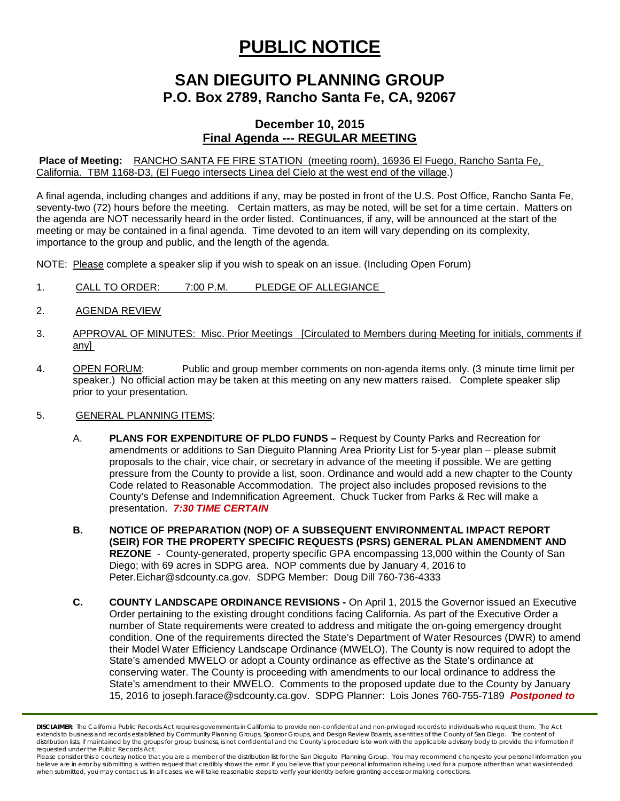## **PUBLIC NOTICE**

### **SAN DIEGUITO PLANNING GROUP P.O. Box 2789, Rancho Santa Fe, CA, 92067**

### **December 10, 2015 Final Agenda --- REGULAR MEETING**

**Place of Meeting:** RANCHO SANTA FE FIRE STATION (meeting room), 16936 El Fuego, Rancho Santa Fe, California. TBM 1168-D3, (El Fuego intersects Linea del Cielo at the west end of the village.)

A final agenda, including changes and additions if any, may be posted in front of the U.S. Post Office, Rancho Santa Fe, seventy-two (72) hours before the meeting. Certain matters, as may be noted, will be set for a time certain. Matters on the agenda are NOT necessarily heard in the order listed. Continuances, if any, will be announced at the start of the meeting or may be contained in a final agenda. Time devoted to an item will vary depending on its complexity, importance to the group and public, and the length of the agenda.

NOTE: Please complete a speaker slip if you wish to speak on an issue. (Including Open Forum)

- 1. CALL TO ORDER: 7:00 P.M. PLEDGE OF ALLEGIANCE
- 2. AGENDA REVIEW
- 3. APPROVAL OF MINUTES: Misc. Prior Meetings [Circulated to Members during Meeting for initials, comments if any]
- 4. OPEN FORUM: Public and group member comments on non-agenda items only. (3 minute time limit per speaker.) No official action may be taken at this meeting on any new matters raised. Complete speaker slip prior to your presentation.

#### 5. GENERAL PLANNING ITEMS:

- A. **PLANS FOR EXPENDITURE OF PLDO FUNDS –** Request by County Parks and Recreation for amendments or additions to San Dieguito Planning Area Priority List for 5-year plan – please submit proposals to the chair, vice chair, or secretary in advance of the meeting if possible. We are getting pressure from the County to provide a list, soon. Ordinance and would add a new chapter to the County Code related to Reasonable Accommodation. The project also includes proposed revisions to the County's Defense and Indemnification Agreement. Chuck Tucker from Parks & Rec will make a presentation. *7:30 TIME CERTAIN*
- **B. NOTICE OF PREPARATION (NOP) OF A SUBSEQUENT ENVIRONMENTAL IMPACT REPORT (SEIR) FOR THE PROPERTY SPECIFIC REQUESTS (PSRS) GENERAL PLAN AMENDMENT AND REZONE** - County-generated, property specific GPA encompassing 13,000 within the County of San Diego; with 69 acres in SDPG area. NOP comments due by January 4, 2016 to [Peter.Eichar@sdcounty.ca.gov.](mailto:Peter.Eichar@sdcounty.ca.gov) SDPG Member: Doug Dill 760-736-4333
- **C. COUNTY LANDSCAPE ORDINANCE REVISIONS -** On April 1, 2015 the Governor issued an Executive Order pertaining to the existing drought conditions facing California. As part of the Executive Order a number of State requirements were created to address and mitigate the on-going emergency drought condition. One of the requirements directed the State's Department of Water Resources (DWR) to amend their Model Water Efficiency Landscape Ordinance (MWELO). The County is now required to adopt the State's amended MWELO or adopt a County ordinance as effective as the State's ordinance at conserving water. The County is proceeding with amendments to our local ordinance to address the State's amendment to their MWELO. Comments to the proposed update due to the County by January 15, 2016 to [joseph.farace@sdcounty.ca.gov.](mailto:joseph.farace@sdcounty.ca.gov) SDPG Planner: Lois Jones 760-755-7189 *Postponed to*

*DISCLAIMER; The California Public Records Act requires governments in California to provide non-confidential and non-privileged records to individuals who request them. The Act*  extends to business and records established by Community Planning Groups, Sponsor Groups, and Design Review Boards, as entities of the County of San Diego. The content of distribution lists, if maintained by the groups for group business, is not confidential and the County's procedure is to work with the applicable advisory body to provide the information if *requested under the Public Records Act.*

Please consider this a courtesy notice that you are a member of the distribution list for the San Dieguito Planning Group. You may recommend changes to your personal information you believe are in error by submitting a written request that credibly shows the error. If you believe that your personal information is being used for a purpose other than what was intended<br>when submitted, you may contact us.